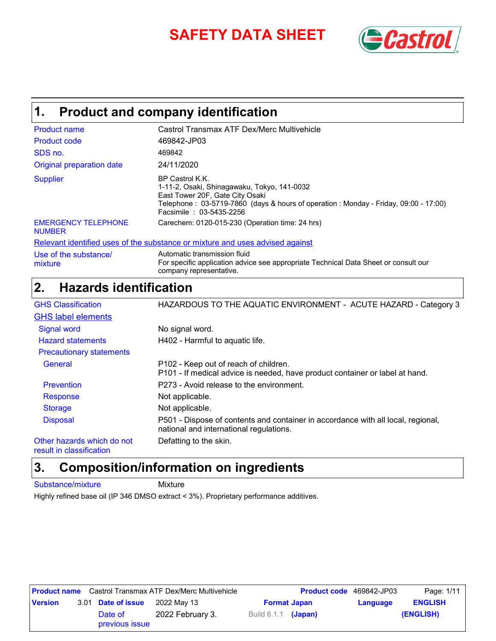# **SAFETY DATA SHEET** *SAFETY*



### **Product and company identification 1.**

| <b>Product name</b>                         | Castrol Transmax ATF Dex/Merc Multivehicle                                                                                                                                                                          |
|---------------------------------------------|---------------------------------------------------------------------------------------------------------------------------------------------------------------------------------------------------------------------|
| <b>Product code</b>                         | 469842-JP03                                                                                                                                                                                                         |
| SDS no.                                     | 469842                                                                                                                                                                                                              |
| Original preparation date                   | 24/11/2020                                                                                                                                                                                                          |
| <b>Supplier</b>                             | BP Castrol K.K.<br>1-11-2, Osaki, Shinagawaku, Tokyo, 141-0032<br>East Tower 20F, Gate City Osaki<br>Telephone: 03-5719-7860 (days & hours of operation: Monday - Friday, 09:00 - 17:00)<br>Facsimile: 03-5435-2256 |
| <b>EMERGENCY TELEPHONE</b><br><b>NUMBER</b> | Carechem: 0120-015-230 (Operation time: 24 hrs)                                                                                                                                                                     |
|                                             | Relevant identified uses of the substance or mixture and uses advised against                                                                                                                                       |
| Use of the substance/                       | Automatic transmission fluid                                                                                                                                                                                        |

company representative.

For specific application advice see appropriate Technical Data Sheet or consult our

### **Hazards identification 2.**

| <b>GHS Classification</b>       | HAZARDOUS TO THE AQUATIC ENVIRONMENT - ACUTE HAZARD - Category 3                                                            |
|---------------------------------|-----------------------------------------------------------------------------------------------------------------------------|
| <b>GHS label elements</b>       |                                                                                                                             |
| <b>Signal word</b>              | No signal word.                                                                                                             |
| <b>Hazard statements</b>        | H402 - Harmful to aquatic life.                                                                                             |
| <b>Precautionary statements</b> |                                                                                                                             |
| General                         | P102 - Keep out of reach of children.<br>P101 - If medical advice is needed, have product container or label at hand.       |
| Prevention                      | P273 - Avoid release to the environment.                                                                                    |
| Response                        | Not applicable.                                                                                                             |
| <b>Storage</b>                  | Not applicable.                                                                                                             |
| <b>Disposal</b>                 | P501 - Dispose of contents and container in accordance with all local, regional,<br>national and international regulations. |
| Other hazards which do not      | Defatting to the skin.                                                                                                      |

result in classification

### **Composition/information on ingredients 3.**

Substance/mixture Mixture

mixture

Highly refined base oil (IP 346 DMSO extract < 3%). Proprietary performance additives.

|                |                           | <b>Product name</b> Castrol Transmax ATF Dex/Merc Multivehicle |                     | <b>Product code</b> 469842-JP03 |          | Page: 1/11     |
|----------------|---------------------------|----------------------------------------------------------------|---------------------|---------------------------------|----------|----------------|
| <b>Version</b> | 3.01 Date of issue        | 2022 May 13<br><b>Format Japan</b>                             |                     |                                 | Language | <b>ENGLISH</b> |
|                | Date of<br>previous issue | 2022 February 3.                                               | Build 6.1.1 (Japan) |                                 |          | (ENGLISH)      |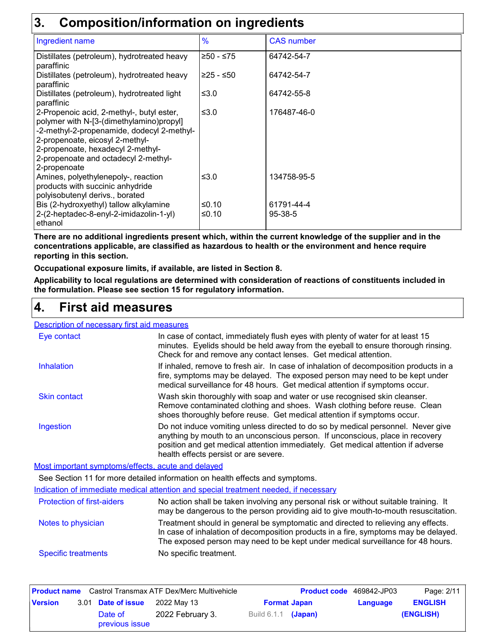### **3. Composition/information on ingredients**

| v.<br><u>UUNNUUNINIUUNIIKKUUN UN INAI VUIVIILU</u>                                                                                                                                                                                                                  |                |                       |
|---------------------------------------------------------------------------------------------------------------------------------------------------------------------------------------------------------------------------------------------------------------------|----------------|-----------------------|
| Ingredient name                                                                                                                                                                                                                                                     | $\frac{9}{6}$  | <b>CAS</b> number     |
| Distillates (petroleum), hydrotreated heavy<br>paraffinic                                                                                                                                                                                                           | ≥50 - ≤75      | 64742-54-7            |
| Distillates (petroleum), hydrotreated heavy<br>paraffinic                                                                                                                                                                                                           | $≥25 - ≤50$    | 64742-54-7            |
| Distillates (petroleum), hydrotreated light<br>paraffinic                                                                                                                                                                                                           | ≤3.0           | 64742-55-8            |
| 2-Propenoic acid, 2-methyl-, butyl ester,<br>polymer with N-[3-(dimethylamino)propyl]<br>-2-methyl-2-propenamide, dodecyl 2-methyl-<br>2-propenoate, eicosyl 2-methyl-<br>2-propenoate, hexadecyl 2-methyl-<br>2-propenoate and octadecyl 2-methyl-<br>2-propenoate | ≤ $3.0$        | 176487-46-0           |
| Amines, polyethylenepoly-, reaction<br>products with succinic anhydride<br>polyisobutenyl derivs., borated                                                                                                                                                          | ≤3.0           | 134758-95-5           |
| Bis (2-hydroxyethyl) tallow alkylamine<br>2-(2-heptadec-8-enyl-2-imidazolin-1-yl)<br>ethanol                                                                                                                                                                        | ≤0.10<br>≤0.10 | 61791-44-4<br>95-38-5 |

**There are no additional ingredients present which, within the current knowledge of the supplier and in the concentrations applicable, are classified as hazardous to health or the environment and hence require reporting in this section.**

**Occupational exposure limits, if available, are listed in Section 8.**

**Applicability to local regulations are determined with consideration of reactions of constituents included in the formulation. Please see section 15 for regulatory information.**

#### **First aid measures 4.**

#### Description of necessary first aid measures

| Eye contact                                        | In case of contact, immediately flush eyes with plenty of water for at least 15<br>minutes. Eyelids should be held away from the eyeball to ensure thorough rinsing.<br>Check for and remove any contact lenses. Get medical attention.                                                        |
|----------------------------------------------------|------------------------------------------------------------------------------------------------------------------------------------------------------------------------------------------------------------------------------------------------------------------------------------------------|
| <b>Inhalation</b>                                  | If inhaled, remove to fresh air. In case of inhalation of decomposition products in a<br>fire, symptoms may be delayed. The exposed person may need to be kept under<br>medical surveillance for 48 hours. Get medical attention if symptoms occur.                                            |
| <b>Skin contact</b>                                | Wash skin thoroughly with soap and water or use recognised skin cleanser.<br>Remove contaminated clothing and shoes. Wash clothing before reuse. Clean<br>shoes thoroughly before reuse. Get medical attention if symptoms occur.                                                              |
| Ingestion                                          | Do not induce vomiting unless directed to do so by medical personnel. Never give<br>anything by mouth to an unconscious person. If unconscious, place in recovery<br>position and get medical attention immediately. Get medical attention if adverse<br>health effects persist or are severe. |
| Most important symptoms/effects, acute and delayed |                                                                                                                                                                                                                                                                                                |
|                                                    | See Section 11 for more detailed information on health effects and symptoms.                                                                                                                                                                                                                   |
|                                                    | Indication of immediate medical attention and special treatment needed, if necessary                                                                                                                                                                                                           |
| <b>Protection of first-aiders</b>                  | No action shall be taken involving any personal risk or without suitable training. It<br>may be dangerous to the person providing aid to give mouth-to-mouth resuscitation.                                                                                                                    |
| Notes to physician                                 | Treatment should in general be symptomatic and directed to relieving any effects.<br>In case of inhalation of decomposition products in a fire, symptoms may be delayed.<br>The exposed person may need to be kept under medical surveillance for 48 hours.                                    |
| <b>Specific treatments</b>                         | No specific treatment.                                                                                                                                                                                                                                                                         |

|                |                           | <b>Product name</b> Castrol Transmax ATF Dex/Merc Multivehicle |                       | <b>Product code</b> 469842-JP03 |          | Page: 2/11     |
|----------------|---------------------------|----------------------------------------------------------------|-----------------------|---------------------------------|----------|----------------|
| <b>Version</b> | 3.01 Date of issue        | 2022 Mav 13                                                    |                       | <b>Format Japan</b>             | Language | <b>ENGLISH</b> |
|                | Date of<br>previous issue | 2022 February 3.                                               | Build $6.1.1$ (Japan) |                                 |          | (ENGLISH)      |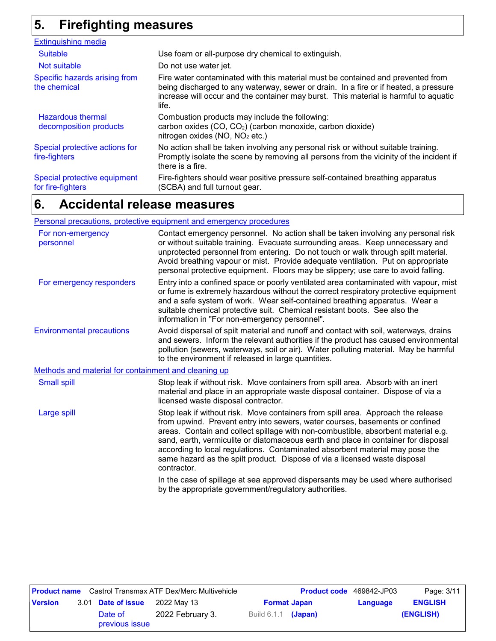### **Firefighting measures 5.**

| <b>Extinguishing media</b>                        |                                                                                                                                                                                                                                                                          |
|---------------------------------------------------|--------------------------------------------------------------------------------------------------------------------------------------------------------------------------------------------------------------------------------------------------------------------------|
| <b>Suitable</b>                                   | Use foam or all-purpose dry chemical to extinguish.                                                                                                                                                                                                                      |
| Not suitable                                      | Do not use water jet.                                                                                                                                                                                                                                                    |
| Specific hazards arising from<br>the chemical     | Fire water contaminated with this material must be contained and prevented from<br>being discharged to any waterway, sewer or drain. In a fire or if heated, a pressure<br>increase will occur and the container may burst. This material is harmful to aquatic<br>life. |
| Hazardous thermal<br>decomposition products       | Combustion products may include the following:<br>carbon oxides (CO, CO <sub>2</sub> ) (carbon monoxide, carbon dioxide)<br>nitrogen oxides (NO, NO <sub>2</sub> etc.)                                                                                                   |
| Special protective actions for<br>fire-fighters   | No action shall be taken involving any personal risk or without suitable training.<br>Promptly isolate the scene by removing all persons from the vicinity of the incident if<br>there is a fire.                                                                        |
| Special protective equipment<br>for fire-fighters | Fire-fighters should wear positive pressure self-contained breathing apparatus<br>(SCBA) and full turnout gear.                                                                                                                                                          |

#### **Accidental release measures 6.**

#### Personal precautions, protective equipment and emergency procedures

| For non-emergency<br>personnel                       | Contact emergency personnel. No action shall be taken involving any personal risk<br>or without suitable training. Evacuate surrounding areas. Keep unnecessary and<br>unprotected personnel from entering. Do not touch or walk through spilt material.<br>Avoid breathing vapour or mist. Provide adequate ventilation. Put on appropriate<br>personal protective equipment. Floors may be slippery; use care to avoid falling.                                                                                        |
|------------------------------------------------------|--------------------------------------------------------------------------------------------------------------------------------------------------------------------------------------------------------------------------------------------------------------------------------------------------------------------------------------------------------------------------------------------------------------------------------------------------------------------------------------------------------------------------|
| For emergency responders                             | Entry into a confined space or poorly ventilated area contaminated with vapour, mist<br>or fume is extremely hazardous without the correct respiratory protective equipment<br>and a safe system of work. Wear self-contained breathing apparatus. Wear a<br>suitable chemical protective suit. Chemical resistant boots. See also the<br>information in "For non-emergency personnel".                                                                                                                                  |
| <b>Environmental precautions</b>                     | Avoid dispersal of spilt material and runoff and contact with soil, waterways, drains<br>and sewers. Inform the relevant authorities if the product has caused environmental<br>pollution (sewers, waterways, soil or air). Water polluting material. May be harmful<br>to the environment if released in large quantities.                                                                                                                                                                                              |
| Methods and material for containment and cleaning up |                                                                                                                                                                                                                                                                                                                                                                                                                                                                                                                          |
| <b>Small spill</b>                                   | Stop leak if without risk. Move containers from spill area. Absorb with an inert<br>material and place in an appropriate waste disposal container. Dispose of via a<br>licensed waste disposal contractor.                                                                                                                                                                                                                                                                                                               |
| Large spill                                          | Stop leak if without risk. Move containers from spill area. Approach the release<br>from upwind. Prevent entry into sewers, water courses, basements or confined<br>areas. Contain and collect spillage with non-combustible, absorbent material e.g.<br>sand, earth, vermiculite or diatomaceous earth and place in container for disposal<br>according to local regulations. Contaminated absorbent material may pose the<br>same hazard as the spilt product. Dispose of via a licensed waste disposal<br>contractor. |
|                                                      | In the case of spillage at sea approved dispersants may be used where authorised<br>by the appropriate government/regulatory authorities.                                                                                                                                                                                                                                                                                                                                                                                |
|                                                      |                                                                                                                                                                                                                                                                                                                                                                                                                                                                                                                          |

|                |                                                                 |                           | <b>Product name</b> Castrol Transmax ATF Dex/Merc Multivehicle |                       | <b>Product code</b> 469842-JP03 |  | Page: 3/11 |
|----------------|-----------------------------------------------------------------|---------------------------|----------------------------------------------------------------|-----------------------|---------------------------------|--|------------|
| <b>Version</b> | 3.01 <b>Date of issue</b><br>2022 Mav 13<br><b>Format Japan</b> |                           |                                                                | Language              | <b>ENGLISH</b>                  |  |            |
|                |                                                                 | Date of<br>previous issue | 2022 February 3.                                               | Build $6.1.1$ (Japan) |                                 |  | (ENGLISH)  |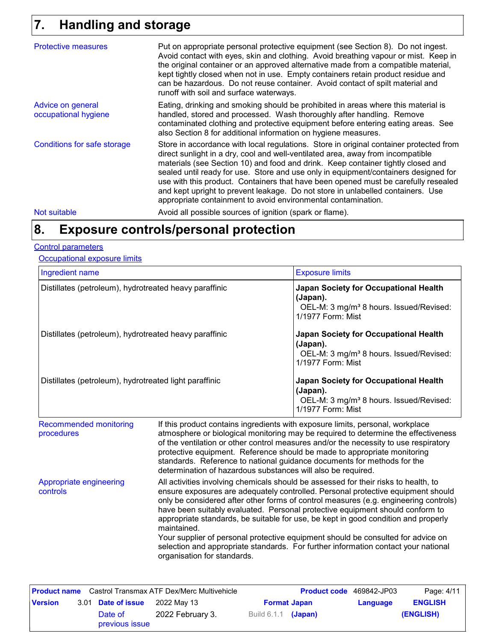### **Handling and storage 7.**

| <b>Protective measures</b>                | Put on appropriate personal protective equipment (see Section 8). Do not ingest.<br>Avoid contact with eyes, skin and clothing. Avoid breathing vapour or mist. Keep in<br>the original container or an approved alternative made from a compatible material,<br>kept tightly closed when not in use. Empty containers retain product residue and<br>can be hazardous. Do not reuse container. Avoid contact of spilt material and<br>runoff with soil and surface waterways.                                                                                                                  |
|-------------------------------------------|------------------------------------------------------------------------------------------------------------------------------------------------------------------------------------------------------------------------------------------------------------------------------------------------------------------------------------------------------------------------------------------------------------------------------------------------------------------------------------------------------------------------------------------------------------------------------------------------|
| Advice on general<br>occupational hygiene | Eating, drinking and smoking should be prohibited in areas where this material is<br>handled, stored and processed. Wash thoroughly after handling. Remove<br>contaminated clothing and protective equipment before entering eating areas. See<br>also Section 8 for additional information on hygiene measures.                                                                                                                                                                                                                                                                               |
| <b>Conditions for safe storage</b>        | Store in accordance with local regulations. Store in original container protected from<br>direct sunlight in a dry, cool and well-ventilated area, away from incompatible<br>materials (see Section 10) and food and drink. Keep container tightly closed and<br>sealed until ready for use. Store and use only in equipment/containers designed for<br>use with this product. Containers that have been opened must be carefully resealed<br>and kept upright to prevent leakage. Do not store in unlabelled containers. Use<br>appropriate containment to avoid environmental contamination. |
| Not suitable                              | Avoid all possible sources of ignition (spark or flame).                                                                                                                                                                                                                                                                                                                                                                                                                                                                                                                                       |

#### **Exposure controls/personal protection 8.**

#### Control parameters

Occupational exposure limits

| Ingredient name                                        |                                                                                                                                                                                                                                                                                                                                                                                                                                                                                                                                                                                                                                                                                                                                | <b>Exposure limits</b>                                                                                                        |  |  |  |
|--------------------------------------------------------|--------------------------------------------------------------------------------------------------------------------------------------------------------------------------------------------------------------------------------------------------------------------------------------------------------------------------------------------------------------------------------------------------------------------------------------------------------------------------------------------------------------------------------------------------------------------------------------------------------------------------------------------------------------------------------------------------------------------------------|-------------------------------------------------------------------------------------------------------------------------------|--|--|--|
| Distillates (petroleum), hydrotreated heavy paraffinic |                                                                                                                                                                                                                                                                                                                                                                                                                                                                                                                                                                                                                                                                                                                                | Japan Society for Occupational Health<br>(Japan).<br>OEL-M: 3 mg/m <sup>3</sup> 8 hours. Issued/Revised:<br>1/1977 Form: Mist |  |  |  |
| Distillates (petroleum), hydrotreated heavy paraffinic |                                                                                                                                                                                                                                                                                                                                                                                                                                                                                                                                                                                                                                                                                                                                | Japan Society for Occupational Health<br>(Japan).<br>OEL-M: 3 mg/m <sup>3</sup> 8 hours. Issued/Revised:<br>1/1977 Form: Mist |  |  |  |
| Distillates (petroleum), hydrotreated light paraffinic |                                                                                                                                                                                                                                                                                                                                                                                                                                                                                                                                                                                                                                                                                                                                | Japan Society for Occupational Health<br>(Japan).<br>OEL-M: 3 mg/m <sup>3</sup> 8 hours. Issued/Revised:<br>1/1977 Form: Mist |  |  |  |
| <b>Recommended monitoring</b><br>procedures            | If this product contains ingredients with exposure limits, personal, workplace<br>atmosphere or biological monitoring may be required to determine the effectiveness<br>of the ventilation or other control measures and/or the necessity to use respiratory<br>protective equipment. Reference should be made to appropriate monitoring<br>standards. Reference to national guidance documents for methods for the                                                                                                                                                                                                                                                                                                            |                                                                                                                               |  |  |  |
| Appropriate engineering<br>controls                    | determination of hazardous substances will also be required.<br>All activities involving chemicals should be assessed for their risks to health, to<br>ensure exposures are adequately controlled. Personal protective equipment should<br>only be considered after other forms of control measures (e.g. engineering controls)<br>have been suitably evaluated. Personal protective equipment should conform to<br>appropriate standards, be suitable for use, be kept in good condition and properly<br>maintained.<br>Your supplier of personal protective equipment should be consulted for advice on<br>selection and appropriate standards. For further information contact your national<br>organisation for standards. |                                                                                                                               |  |  |  |

|                |                           | <b>Product name</b> Castrol Transmax ATF Dex/Merc Multivehicle |                            | <b>Product code</b> 469842-JP03 |          | Page: 4/11     |
|----------------|---------------------------|----------------------------------------------------------------|----------------------------|---------------------------------|----------|----------------|
| <b>Version</b> | 3.01 Date of issue        | 2022 May 13                                                    |                            | <b>Format Japan</b>             | Language | <b>ENGLISH</b> |
|                | Date of<br>previous issue | 2022 February 3.                                               | Build 6.1.1 <b>(Japan)</b> |                                 |          | (ENGLISH)      |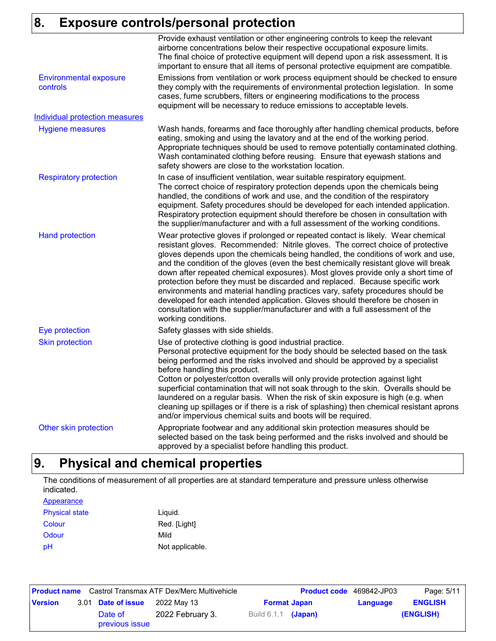# **8. Exposure controls/personal protection**

|                                           | Provide exhaust ventilation or other engineering controls to keep the relevant<br>airborne concentrations below their respective occupational exposure limits.<br>The final choice of protective equipment will depend upon a risk assessment. It is<br>important to ensure that all items of personal protective equipment are compatible.                                                                                                                                                                                                                                                                                                                                                                                                                                                     |
|-------------------------------------------|-------------------------------------------------------------------------------------------------------------------------------------------------------------------------------------------------------------------------------------------------------------------------------------------------------------------------------------------------------------------------------------------------------------------------------------------------------------------------------------------------------------------------------------------------------------------------------------------------------------------------------------------------------------------------------------------------------------------------------------------------------------------------------------------------|
| <b>Environmental exposure</b><br>controls | Emissions from ventilation or work process equipment should be checked to ensure<br>they comply with the requirements of environmental protection legislation. In some<br>cases, fume scrubbers, filters or engineering modifications to the process<br>equipment will be necessary to reduce emissions to acceptable levels.                                                                                                                                                                                                                                                                                                                                                                                                                                                                   |
| <b>Individual protection measures</b>     |                                                                                                                                                                                                                                                                                                                                                                                                                                                                                                                                                                                                                                                                                                                                                                                                 |
| <b>Hygiene measures</b>                   | Wash hands, forearms and face thoroughly after handling chemical products, before<br>eating, smoking and using the lavatory and at the end of the working period.<br>Appropriate techniques should be used to remove potentially contaminated clothing.<br>Wash contaminated clothing before reusing. Ensure that eyewash stations and<br>safety showers are close to the workstation location.                                                                                                                                                                                                                                                                                                                                                                                                 |
| <b>Respiratory protection</b>             | In case of insufficient ventilation, wear suitable respiratory equipment.<br>The correct choice of respiratory protection depends upon the chemicals being<br>handled, the conditions of work and use, and the condition of the respiratory<br>equipment. Safety procedures should be developed for each intended application.<br>Respiratory protection equipment should therefore be chosen in consultation with<br>the supplier/manufacturer and with a full assessment of the working conditions.                                                                                                                                                                                                                                                                                           |
| <b>Hand protection</b>                    | Wear protective gloves if prolonged or repeated contact is likely. Wear chemical<br>resistant gloves. Recommended: Nitrile gloves. The correct choice of protective<br>gloves depends upon the chemicals being handled, the conditions of work and use,<br>and the condition of the gloves (even the best chemically resistant glove will break<br>down after repeated chemical exposures). Most gloves provide only a short time of<br>protection before they must be discarded and replaced. Because specific work<br>environments and material handling practices vary, safety procedures should be<br>developed for each intended application. Gloves should therefore be chosen in<br>consultation with the supplier/manufacturer and with a full assessment of the<br>working conditions. |
| Eye protection                            | Safety glasses with side shields.                                                                                                                                                                                                                                                                                                                                                                                                                                                                                                                                                                                                                                                                                                                                                               |
| <b>Skin protection</b>                    | Use of protective clothing is good industrial practice.<br>Personal protective equipment for the body should be selected based on the task<br>being performed and the risks involved and should be approved by a specialist<br>before handling this product.<br>Cotton or polyester/cotton overalls will only provide protection against light<br>superficial contamination that will not soak through to the skin. Overalls should be<br>laundered on a regular basis. When the risk of skin exposure is high (e.g. when<br>cleaning up spillages or if there is a risk of splashing) then chemical resistant aprons<br>and/or impervious chemical suits and boots will be required.                                                                                                           |
| Other skin protection                     | Appropriate footwear and any additional skin protection measures should be<br>selected based on the task being performed and the risks involved and should be<br>approved by a specialist before handling this product.                                                                                                                                                                                                                                                                                                                                                                                                                                                                                                                                                                         |

### **9. Physical and chemical properties**

The conditions of measurement of all properties are at standard temperature and pressure unless otherwise indicated.

#### **Appearance**

| <b>Physical state</b> | Liquid.         |
|-----------------------|-----------------|
| Colour                | Red. [Light]    |
| Odour                 | Mild            |
| pH                    | Not applicable. |

|                |                           | <b>Product name</b> Castrol Transmax ATF Dex/Merc Multivehicle |                       | <b>Product code</b> 469842-JP03 |          | Page: 5/11     |
|----------------|---------------------------|----------------------------------------------------------------|-----------------------|---------------------------------|----------|----------------|
| <b>Version</b> | 3.01 Date of issue        | 2022 May 13                                                    |                       | <b>Format Japan</b>             | Language | <b>ENGLISH</b> |
|                | Date of<br>previous issue | 2022 February 3.                                               | Build $6.1.1$ (Japan) |                                 |          | (ENGLISH)      |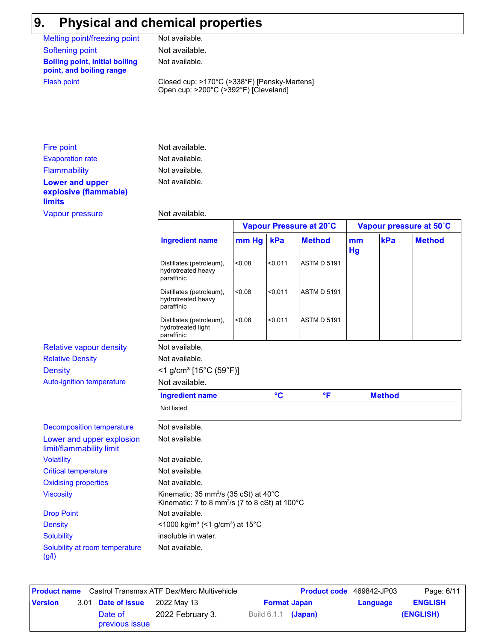# **9. Physical and chemical properties**

(g/l)

| Melting point/freezing point                                      | Not available.                                                                                                             |       |              |                         |          |               |                         |
|-------------------------------------------------------------------|----------------------------------------------------------------------------------------------------------------------------|-------|--------------|-------------------------|----------|---------------|-------------------------|
| <b>Softening point</b>                                            | Not available.                                                                                                             |       |              |                         |          |               |                         |
| <b>Boiling point, initial boiling</b><br>point, and boiling range | Not available.                                                                                                             |       |              |                         |          |               |                         |
| <b>Flash point</b>                                                | Closed cup: >170°C (>338°F) [Pensky-Martens]<br>Open cup: >200°C (>392°F) [Cleveland]                                      |       |              |                         |          |               |                         |
|                                                                   |                                                                                                                            |       |              |                         |          |               |                         |
| Fire point                                                        | Not available.                                                                                                             |       |              |                         |          |               |                         |
| <b>Evaporation rate</b>                                           | Not available.                                                                                                             |       |              |                         |          |               |                         |
| <b>Flammability</b>                                               | Not available.                                                                                                             |       |              |                         |          |               |                         |
| <b>Lower and upper</b><br>explosive (flammable)<br><b>limits</b>  | Not available.                                                                                                             |       |              |                         |          |               |                         |
| <b>Vapour pressure</b>                                            | Not available.                                                                                                             |       |              |                         |          |               |                         |
|                                                                   |                                                                                                                            |       |              | Vapour Pressure at 20°C |          |               | Vapour pressure at 50°C |
|                                                                   | <b>Ingredient name</b>                                                                                                     | mm Hg | kPa          | <b>Method</b>           | mm<br>Hg | kPa           | <b>Method</b>           |
|                                                                   | Distillates (petroleum),<br>hydrotreated heavy<br>paraffinic                                                               | 0.08  | < 0.011      | <b>ASTM D 5191</b>      |          |               |                         |
|                                                                   | Distillates (petroleum),<br>hydrotreated heavy<br>paraffinic                                                               | <0.08 | < 0.011      | <b>ASTM D 5191</b>      |          |               |                         |
|                                                                   | Distillates (petroleum),<br>hydrotreated light<br>paraffinic                                                               | <0.08 | < 0.011      | <b>ASTM D 5191</b>      |          |               |                         |
| <b>Relative vapour density</b>                                    | Not available.                                                                                                             |       |              |                         |          |               |                         |
| <b>Relative Density</b>                                           | Not available.                                                                                                             |       |              |                         |          |               |                         |
| <b>Density</b>                                                    | $<$ 1 g/cm <sup>3</sup> [15°C (59°F)]                                                                                      |       |              |                         |          |               |                         |
| <b>Auto-ignition temperature</b>                                  | Not available.                                                                                                             |       |              |                         |          |               |                         |
|                                                                   | <b>Ingredient name</b>                                                                                                     |       | $\mathbf{C}$ | $\overline{\mathsf{F}}$ |          | <b>Method</b> |                         |
|                                                                   | Not listed.                                                                                                                |       |              |                         |          |               |                         |
| <b>Decomposition temperature</b>                                  | Not available.                                                                                                             |       |              |                         |          |               |                         |
| Lower and upper explosion<br>limit/flammability limit             | Not available.                                                                                                             |       |              |                         |          |               |                         |
| <b>Volatility</b>                                                 | Not available.                                                                                                             |       |              |                         |          |               |                         |
| <b>Critical temperature</b>                                       | Not available.                                                                                                             |       |              |                         |          |               |                         |
| <b>Oxidising properties</b>                                       | Not available.                                                                                                             |       |              |                         |          |               |                         |
| <b>Viscosity</b>                                                  | Kinematic: 35 mm <sup>2</sup> /s (35 cSt) at 40°C<br>Kinematic: 7 to 8 mm <sup>2</sup> /s (7 to 8 cSt) at 100 $^{\circ}$ C |       |              |                         |          |               |                         |
| <b>Drop Point</b>                                                 | Not available.                                                                                                             |       |              |                         |          |               |                         |
| <b>Density</b>                                                    | <1000 kg/m <sup>3</sup> (<1 g/cm <sup>3</sup> ) at 15°C                                                                    |       |              |                         |          |               |                         |
| <b>Solubility</b>                                                 | insoluble in water.                                                                                                        |       |              |                         |          |               |                         |
| Solubility at room temperature                                    | Not available.                                                                                                             |       |              |                         |          |               |                         |

|                |                           | <b>Product name</b> Castrol Transmax ATF Dex/Merc Multivehicle |                       | <b>Product code</b> 469842-JP03 |          | Page: 6/11     |
|----------------|---------------------------|----------------------------------------------------------------|-----------------------|---------------------------------|----------|----------------|
| <b>Version</b> | 3.01 Date of issue        | 2022 May 13                                                    |                       | <b>Format Japan</b>             | Language | <b>ENGLISH</b> |
|                | Date of<br>previous issue | 2022 February 3.                                               | Build $6.1.1$ (Japan) |                                 |          | (ENGLISH)      |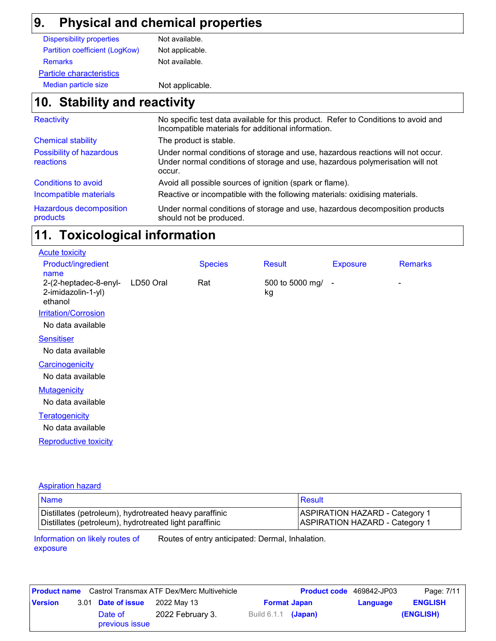## **9. Physical and chemical properties**

| <b>Dispersibility properties</b> | Not available.  |
|----------------------------------|-----------------|
| Partition coefficient (LogKow)   | Not applicable. |
| <b>Remarks</b>                   | Not available.  |
| <b>Particle characteristics</b>  |                 |
| Median particle size             | Not applicable  |

# applicable.

### **Stability and reactivity 10.**

| Reactivity                                 | No specific test data available for this product. Refer to Conditions to avoid and<br>Incompatible materials for additional information.                                   |
|--------------------------------------------|----------------------------------------------------------------------------------------------------------------------------------------------------------------------------|
| <b>Chemical stability</b>                  | The product is stable.                                                                                                                                                     |
| Possibility of hazardous<br>reactions      | Under normal conditions of storage and use, hazardous reactions will not occur.<br>Under normal conditions of storage and use, hazardous polymerisation will not<br>occur. |
| Conditions to avoid                        | Avoid all possible sources of ignition (spark or flame).                                                                                                                   |
| Incompatible materials                     | Reactive or incompatible with the following materials: oxidising materials.                                                                                                |
| <b>Hazardous decomposition</b><br>products | Under normal conditions of storage and use, hazardous decomposition products<br>should not be produced.                                                                    |

### **Toxicological information 11.**

| <b>Acute toxicity</b>                                  |           |                |                       |                 |                |
|--------------------------------------------------------|-----------|----------------|-----------------------|-----------------|----------------|
| Product/ingredient<br>name                             |           | <b>Species</b> | Result                | <b>Exposure</b> | <b>Remarks</b> |
| 2-(2-heptadec-8-enyl-<br>2-imidazolin-1-yl)<br>ethanol | LD50 Oral | Rat            | 500 to 5000 mg/<br>kg | $\blacksquare$  | ۰              |
| <b>Irritation/Corrosion</b>                            |           |                |                       |                 |                |
| No data available                                      |           |                |                       |                 |                |
| <b>Sensitiser</b>                                      |           |                |                       |                 |                |
| No data available                                      |           |                |                       |                 |                |
| Carcinogenicity                                        |           |                |                       |                 |                |
| No data available                                      |           |                |                       |                 |                |
| <b>Mutagenicity</b>                                    |           |                |                       |                 |                |
| No data available                                      |           |                |                       |                 |                |
| Teratogenicity                                         |           |                |                       |                 |                |
| No data available                                      |           |                |                       |                 |                |
| <b>Reproductive toxicity</b>                           |           |                |                       |                 |                |
|                                                        |           |                |                       |                 |                |

#### Aspiration hazard

| <b>Name</b>                                            | Result                                |
|--------------------------------------------------------|---------------------------------------|
| Distillates (petroleum), hydrotreated heavy paraffinic | <b>ASPIRATION HAZARD - Category 1</b> |
| Distillates (petroleum), hydrotreated light paraffinic | <b>ASPIRATION HAZARD - Category 1</b> |

Information on likely routes of exposure Routes of entry anticipated: Dermal, Inhalation.

|                |                           | <b>Product name</b> Castrol Transmax ATF Dex/Merc Multivehicle |                       | <b>Product code</b> 469842-JP03 |          | Page: 7/11     |
|----------------|---------------------------|----------------------------------------------------------------|-----------------------|---------------------------------|----------|----------------|
| <b>Version</b> | 3.01 Date of issue        | 2022 May 13                                                    | <b>Format Japan</b>   |                                 | Language | <b>ENGLISH</b> |
|                | Date of<br>previous issue | 2022 February 3.                                               | Build $6.1.1$ (Japan) |                                 |          | (ENGLISH)      |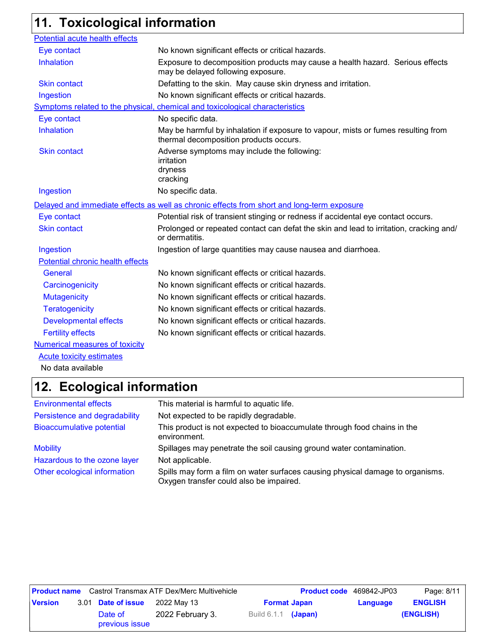# **11. Toxicological information**

| Potential acute health effects        |                                                                                                                             |
|---------------------------------------|-----------------------------------------------------------------------------------------------------------------------------|
| Eye contact                           | No known significant effects or critical hazards.                                                                           |
| Inhalation                            | Exposure to decomposition products may cause a health hazard. Serious effects<br>may be delayed following exposure.         |
| <b>Skin contact</b>                   | Defatting to the skin. May cause skin dryness and irritation.                                                               |
| Ingestion                             | No known significant effects or critical hazards.                                                                           |
|                                       | Symptoms related to the physical, chemical and toxicological characteristics                                                |
| Eye contact                           | No specific data.                                                                                                           |
| Inhalation                            | May be harmful by inhalation if exposure to vapour, mists or fumes resulting from<br>thermal decomposition products occurs. |
| <b>Skin contact</b>                   | Adverse symptoms may include the following:<br>irritation<br>dryness<br>cracking                                            |
| Ingestion                             | No specific data.                                                                                                           |
|                                       | Delayed and immediate effects as well as chronic effects from short and long-term exposure                                  |
| Eye contact                           | Potential risk of transient stinging or redness if accidental eye contact occurs.                                           |
| <b>Skin contact</b>                   | Prolonged or repeated contact can defat the skin and lead to irritation, cracking and/<br>or dermatitis.                    |
| Ingestion                             | Ingestion of large quantities may cause nausea and diarrhoea.                                                               |
| Potential chronic health effects      |                                                                                                                             |
| General                               | No known significant effects or critical hazards.                                                                           |
| Carcinogenicity                       | No known significant effects or critical hazards.                                                                           |
| <b>Mutagenicity</b>                   | No known significant effects or critical hazards.                                                                           |
| <b>Teratogenicity</b>                 | No known significant effects or critical hazards.                                                                           |
| <b>Developmental effects</b>          | No known significant effects or critical hazards.                                                                           |
| <b>Fertility effects</b>              | No known significant effects or critical hazards.                                                                           |
| <b>Numerical measures of toxicity</b> |                                                                                                                             |
| <b>Acute toxicity estimates</b>       |                                                                                                                             |
|                                       |                                                                                                                             |

No data available

### **Ecological information 12.**

| <b>Environmental effects</b>     | This material is harmful to aquatic life.                                                                                 |
|----------------------------------|---------------------------------------------------------------------------------------------------------------------------|
| Persistence and degradability    | Not expected to be rapidly degradable.                                                                                    |
| <b>Bioaccumulative potential</b> | This product is not expected to bioaccumulate through food chains in the<br>environment.                                  |
| <b>Mobility</b>                  | Spillages may penetrate the soil causing ground water contamination.                                                      |
| Hazardous to the ozone layer     | Not applicable.                                                                                                           |
| Other ecological information     | Spills may form a film on water surfaces causing physical damage to organisms.<br>Oxygen transfer could also be impaired. |

| <b>Product name</b> Castrol Transmax ATF Dex/Merc Multivehicle |  |                           | <b>Product code</b> 469842-JP03 |                            | Page: 8/11          |          |                |
|----------------------------------------------------------------|--|---------------------------|---------------------------------|----------------------------|---------------------|----------|----------------|
| <b>Version</b>                                                 |  | 3.01 Date of issue        | 2022 May 13                     |                            | <b>Format Japan</b> | Language | <b>ENGLISH</b> |
|                                                                |  | Date of<br>previous issue | 2022 February 3.                | Build 6.1.1 <b>(Japan)</b> |                     |          | (ENGLISH)      |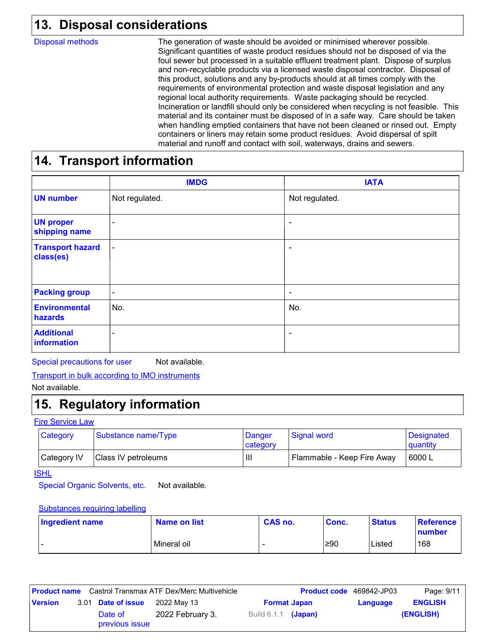### **Disposal considerations 13.**

Disposal methods

The generation of waste should be avoided or minimised wherever possible. Significant quantities of waste product residues should not be disposed of via the foul sewer but processed in a suitable effluent treatment plant. Dispose of surplus and non-recyclable products via a licensed waste disposal contractor. Disposal of this product, solutions and any by-products should at all times comply with the requirements of environmental protection and waste disposal legislation and any regional local authority requirements. Waste packaging should be recycled. Incineration or landfill should only be considered when recycling is not feasible. This material and its container must be disposed of in a safe way. Care should be taken when handling emptied containers that have not been cleaned or rinsed out. Empty containers or liners may retain some product residues. Avoid dispersal of spilt material and runoff and contact with soil, waterways, drains and sewers.

### **14. Transport information**

|                                      | <b>IMDG</b>    | <b>IATA</b>              |
|--------------------------------------|----------------|--------------------------|
| <b>UN</b> number                     | Not regulated. | Not regulated.           |
| <b>UN proper</b><br>shipping name    | -              |                          |
| <b>Transport hazard</b><br>class(es) | $\blacksquare$ |                          |
| <b>Packing group</b>                 | ٠              | ٠                        |
| <b>Environmental</b><br>hazards      | No.            | No.                      |
| <b>Additional</b><br>information     | -              | $\overline{\phantom{0}}$ |

Special precautions for user Not available.

Not available.

### **15. Regulatory information**

#### Fire Service Law

| Category    | Substance name/Type | Danger<br>category | Signal word                | <b>Designated</b><br>quantity |
|-------------|---------------------|--------------------|----------------------------|-------------------------------|
| Category IV | Class IV petroleums | Ш                  | Flammable - Keep Fire Away | 16000 L                       |

ISHL

Special Organic Solvents, etc. Not available.

#### Substances requiring labelling

| Ingredient name | Name on list | <b>CAS no.</b> | Conc. | <b>Status</b> | ∣ Reference⊹<br>number |
|-----------------|--------------|----------------|-------|---------------|------------------------|
| -               | Mineral oil  |                | ≥90   | Listed        | 168                    |

| <b>Product name</b> Castrol Transmax ATF Dex/Merc Multivehicle |  |                           | <b>Product code</b> 469842-JP03 |                       | Page: 9/11 |          |                |
|----------------------------------------------------------------|--|---------------------------|---------------------------------|-----------------------|------------|----------|----------------|
| <b>Version</b>                                                 |  | 3.01 Date of issue        | 2022 May 13                     | <b>Format Japan</b>   |            | Language | <b>ENGLISH</b> |
|                                                                |  | Date of<br>previous issue | 2022 February 3.                | Build $6.1.1$ (Japan) |            |          | (ENGLISH)      |

Transport in bulk according to IMO instruments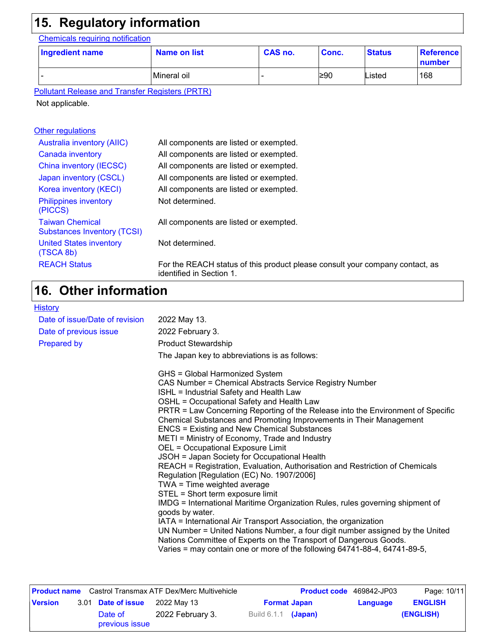## **15. Regulatory information**

Chemicals requiring notification

| <b>Ingredient name</b> | Name on list | CAS no. | Conc. | <b>Status</b> | <b>Reference</b><br>number |
|------------------------|--------------|---------|-------|---------------|----------------------------|
|                        | Mineral oil  |         | l≥90  | Listed        | 168                        |

Pollutant Release and Transfer Registers (PRTR)

Not applicable.

#### **Other regulations**

| <b>Australia inventory (AIIC)</b>                            | All components are listed or exempted.                                                                   |
|--------------------------------------------------------------|----------------------------------------------------------------------------------------------------------|
| Canada inventory                                             | All components are listed or exempted.                                                                   |
| China inventory (IECSC)                                      | All components are listed or exempted.                                                                   |
| Japan inventory (CSCL)                                       | All components are listed or exempted.                                                                   |
| Korea inventory (KECI)                                       | All components are listed or exempted.                                                                   |
| <b>Philippines inventory</b><br>(PICCS)                      | Not determined.                                                                                          |
| <b>Taiwan Chemical</b><br><b>Substances Inventory (TCSI)</b> | All components are listed or exempted.                                                                   |
| <b>United States inventory</b><br>(TSCA 8b)                  | Not determined.                                                                                          |
| <b>REACH Status</b>                                          | For the REACH status of this product please consult your company contact, as<br>identified in Section 1. |

#### **Other information 16.**

| <b>History</b>                 |                                                                                                                                                                                                                                                                                                                                                                                                                                                                                                                                                                                                                                                                                                                                                                                                                                                                                                                                                                                                                                                                                                                                                            |
|--------------------------------|------------------------------------------------------------------------------------------------------------------------------------------------------------------------------------------------------------------------------------------------------------------------------------------------------------------------------------------------------------------------------------------------------------------------------------------------------------------------------------------------------------------------------------------------------------------------------------------------------------------------------------------------------------------------------------------------------------------------------------------------------------------------------------------------------------------------------------------------------------------------------------------------------------------------------------------------------------------------------------------------------------------------------------------------------------------------------------------------------------------------------------------------------------|
| Date of issue/Date of revision | 2022 May 13.                                                                                                                                                                                                                                                                                                                                                                                                                                                                                                                                                                                                                                                                                                                                                                                                                                                                                                                                                                                                                                                                                                                                               |
| Date of previous issue         | 2022 February 3.                                                                                                                                                                                                                                                                                                                                                                                                                                                                                                                                                                                                                                                                                                                                                                                                                                                                                                                                                                                                                                                                                                                                           |
| <b>Prepared by</b>             | <b>Product Stewardship</b>                                                                                                                                                                                                                                                                                                                                                                                                                                                                                                                                                                                                                                                                                                                                                                                                                                                                                                                                                                                                                                                                                                                                 |
|                                | The Japan key to abbreviations is as follows:                                                                                                                                                                                                                                                                                                                                                                                                                                                                                                                                                                                                                                                                                                                                                                                                                                                                                                                                                                                                                                                                                                              |
|                                | GHS = Global Harmonized System<br>CAS Number = Chemical Abstracts Service Registry Number<br>ISHL = Industrial Safety and Health Law<br>OSHL = Occupational Safety and Health Law<br>PRTR = Law Concerning Reporting of the Release into the Environment of Specific<br>Chemical Substances and Promoting Improvements in Their Management<br><b>ENCS = Existing and New Chemical Substances</b><br>METI = Ministry of Economy, Trade and Industry<br><b>OEL = Occupational Exposure Limit</b><br>JSOH = Japan Society for Occupational Health<br>REACH = Registration, Evaluation, Authorisation and Restriction of Chemicals<br>Regulation [Regulation (EC) No. 1907/2006]<br>TWA = Time weighted average<br>STEL = Short term exposure limit<br>IMDG = International Maritime Organization Rules, rules governing shipment of<br>goods by water.<br>IATA = International Air Transport Association, the organization<br>UN Number = United Nations Number, a four digit number assigned by the United<br>Nations Committee of Experts on the Transport of Dangerous Goods.<br>Varies = may contain one or more of the following 64741-88-4, 64741-89-5, |

| Castrol Transmax ATF Dex/Merc Multivehicle<br><b>Product name</b> |  |                           | <b>Product code</b> 469842-JP03 |                       | Page: 10/11 |          |                |
|-------------------------------------------------------------------|--|---------------------------|---------------------------------|-----------------------|-------------|----------|----------------|
| <b>Version</b>                                                    |  | 3.01 <b>Date of issue</b> | 2022 Mav 13                     | <b>Format Japan</b>   |             | Language | <b>ENGLISH</b> |
|                                                                   |  | Date of<br>previous issue | 2022 February 3.                | Build $6.1.1$ (Japan) |             |          | (ENGLISH)      |